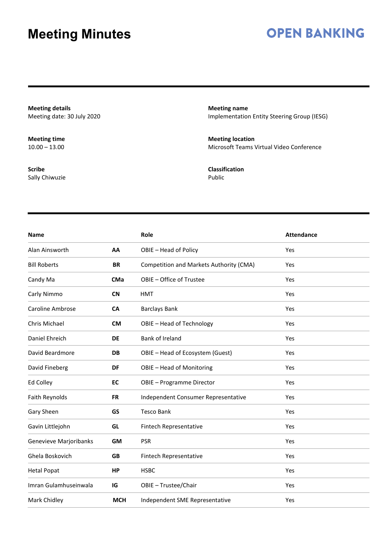## **OPEN BANKING**

**Meeting details** Meeting date: 30 July 2020

**Meeting time**  $10.00 - 13.00$ 

**Scribe** Sally Chiwuzie **Meeting name** Implementation Entity Steering Group (IESG)

**Meeting location** Microsoft Teams Virtual Video Conference

**Classification** Public

| <b>Name</b>            |            | Role                                    | <b>Attendance</b> |
|------------------------|------------|-----------------------------------------|-------------------|
| Alan Ainsworth         | AA         | OBIE - Head of Policy                   | Yes               |
| <b>Bill Roberts</b>    | <b>BR</b>  | Competition and Markets Authority (CMA) | Yes               |
| Candy Ma               | <b>CMa</b> | OBIE - Office of Trustee                | Yes               |
| Carly Nimmo            | <b>CN</b>  | <b>HMT</b>                              | Yes               |
| Caroline Ambrose       | <b>CA</b>  | <b>Barclays Bank</b>                    | Yes               |
| Chris Michael          | <b>CM</b>  | OBIE - Head of Technology               | Yes               |
| Daniel Ehreich         | <b>DE</b>  | Bank of Ireland                         | Yes               |
| David Beardmore        | <b>DB</b>  | OBIE - Head of Ecosystem (Guest)        | Yes               |
| David Fineberg         | DF         | OBIE - Head of Monitoring               | Yes               |
| Ed Colley              | EC         | <b>OBIE - Programme Director</b>        | Yes               |
| Faith Reynolds         | <b>FR</b>  | Independent Consumer Representative     | Yes               |
| Gary Sheen             | GS         | <b>Tesco Bank</b>                       | Yes               |
| Gavin Littlejohn       | GL         | Fintech Representative                  | Yes               |
| Genevieve Marjoribanks | <b>GM</b>  | <b>PSR</b>                              | Yes               |
| Ghela Boskovich        | <b>GB</b>  | Fintech Representative                  | Yes               |
| <b>Hetal Popat</b>     | HP         | <b>HSBC</b>                             | Yes               |
| Imran Gulamhuseinwala  | IG         | OBIE - Trustee/Chair                    | Yes               |
| Mark Chidley           | <b>MCH</b> | Independent SME Representative          | Yes               |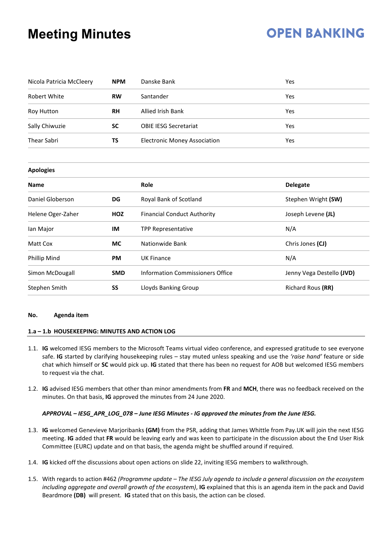# **OPEN BANKING**

| Nicola Patricia McCleery | <b>NPM</b> | Danske Bank                             | Yes                       |  |
|--------------------------|------------|-----------------------------------------|---------------------------|--|
| <b>Robert White</b>      | <b>RW</b>  | Santander                               | Yes                       |  |
| <b>Roy Hutton</b>        | <b>RH</b>  | <b>Allied Irish Bank</b>                | Yes                       |  |
| Sally Chiwuzie           | <b>SC</b>  | <b>OBIE IESG Secretariat</b>            | Yes                       |  |
| <b>Thear Sabri</b><br>ΤS |            | <b>Electronic Money Association</b>     | Yes                       |  |
|                          |            |                                         |                           |  |
| <b>Apologies</b>         |            |                                         |                           |  |
| <b>Name</b>              |            | Role                                    | <b>Delegate</b>           |  |
| Daniel Globerson         | DG         | Royal Bank of Scotland                  | Stephen Wright (SW)       |  |
| Helene Oger-Zaher        | HOZ        | <b>Financial Conduct Authority</b>      | Joseph Levene (JL)        |  |
| lan Major                | IM         | <b>TPP Representative</b>               | N/A                       |  |
| Matt Cox                 | <b>MC</b>  | Nationwide Bank                         | Chris Jones (CJ)          |  |
| Phillip Mind             | <b>PM</b>  | <b>UK Finance</b>                       | N/A                       |  |
| Simon McDougall          | <b>SMD</b> | <b>Information Commissioners Office</b> | Jenny Vega Destello (JVD) |  |
| Stephen Smith            | SS         | Lloyds Banking Group                    | Richard Rous (RR)         |  |

## **No. Agenda item**

## **1.a – 1.b HOUSEKEEPING: MINUTES AND ACTION LOG**

- 1.1. **IG** welcomed IESG members to the Microsoft Teams virtual video conference, and expressed gratitude to see everyone safe. **IG** started by clarifying housekeeping rules – stay muted unless speaking and use the *'raise hand'* feature or side chat which himself or **SC** would pick up. **IG** stated that there has been no request for AOB but welcomed IESG members to request via the chat.
- 1.2. **IG** advised IESG members that other than minor amendments from **FR** and **MCH**, there was no feedback received on the minutes. On that basis, **IG** approved the minutes from 24 June 2020.

## *APPROVAL – IESG\_APR\_LOG\_078 – June IESG Minutes - IG approved the minutes from the June IESG.*

- 1.3. **IG** welcomed Genevieve Marjoribanks **(GM)** from the PSR, adding that James Whittle from Pay.UK will join the next IESG meeting. **IG** added that **FR** would be leaving early and was keen to participate in the discussion about the End User Risk Committee (EURC) update and on that basis, the agenda might be shuffled around if required.
- 1.4. **IG** kicked off the discussions about open actions on slide 22, inviting IESG members to walkthrough.
- 1.5. With regards to action #462 *(Programme update – The IESG July agenda to include a general discussion on the ecosystem including aggregate and overall growth of the ecosystem)*, **IG** explained that this is an agenda item in the pack and David Beardmore **(DB)** will present. **IG** stated that on this basis, the action can be closed.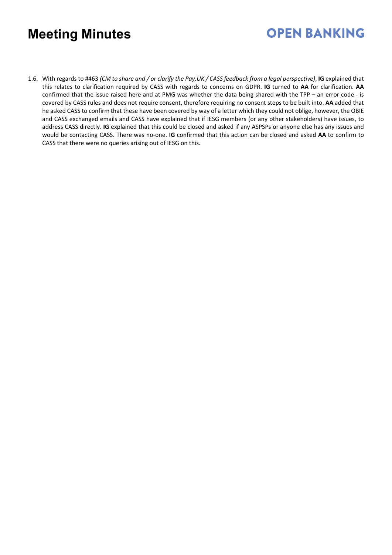# **OPEN BANKING**

1.6. With regards to #463 *(CM to share and / or clarify the Pay.UK / CASS feedback from a legal perspective)*, **IG** explained that this relates to clarification required by CASS with regards to concerns on GDPR. **IG** turned to **AA** for clarification. **AA** confirmed that the issue raised here and at PMG was whether the data being shared with the TPP – an error code - is covered by CASS rules and does not require consent, therefore requiring no consent steps to be built into. **AA** added that he asked CASS to confirm that these have been covered by way of a letter which they could not oblige, however, the OBIE and CASS exchanged emails and CASS have explained that if IESG members (or any other stakeholders) have issues, to address CASS directly. **IG** explained that this could be closed and asked if any ASPSPs or anyone else has any issues and would be contacting CASS. There was no-one. **IG** confirmed that this action can be closed and asked **AA** to confirm to CASS that there were no queries arising out of IESG on this.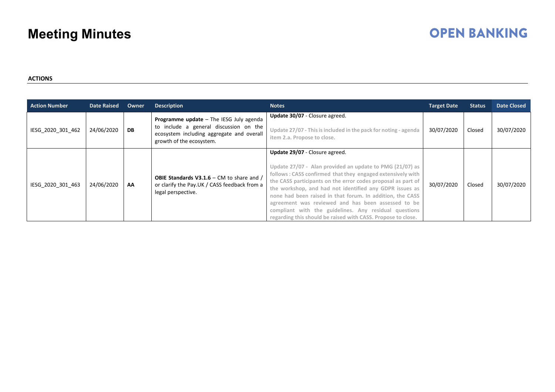# **OPEN BANKING**

## **ACTIONS**

| <b>Action Number</b> | <b>Date Raised</b> | Owner | <b>Description</b>                                                                                                                                                | <b>Notes</b>                                                                                                                                                                                                                                                                                                                                                                                                                                                                                                                    | <b>Target Date</b> | <b>Status</b> | <b>Date Closed</b> |
|----------------------|--------------------|-------|-------------------------------------------------------------------------------------------------------------------------------------------------------------------|---------------------------------------------------------------------------------------------------------------------------------------------------------------------------------------------------------------------------------------------------------------------------------------------------------------------------------------------------------------------------------------------------------------------------------------------------------------------------------------------------------------------------------|--------------------|---------------|--------------------|
| IESG 2020 301 462    | 24/06/2020         | DB    | <b>Programme update</b> - The IESG July agenda<br>to include a general discussion on the<br>ecosystem including aggregate and overall<br>growth of the ecosystem. | Update 30/07 - Closure agreed.<br>Update 27/07 - This is included in the pack for noting - agenda<br>item 2.a. Propose to close.                                                                                                                                                                                                                                                                                                                                                                                                | 30/07/2020         | Closed        | 30/07/2020         |
| IESG 2020 301 463    | 24/06/2020         | AA    | <b>OBIE Standards V3.1.6 - CM to share and /</b><br>or clarify the Pay.UK / CASS feedback from a<br>legal perspective.                                            | Update 29/07 - Closure agreed.<br>Update 27/07 - Alan provided an update to PMG (21/07) as<br>follows: CASS confirmed that they engaged extensively with<br>the CASS participants on the error codes proposal as part of<br>the workshop, and had not identified any GDPR issues as<br>none had been raised in that forum. In addition, the CASS<br>agreement was reviewed and has been assessed to be<br>compliant with the guidelines. Any residual questions<br>regarding this should be raised with CASS. Propose to close. | 30/07/2020         | Closed        | 30/07/2020         |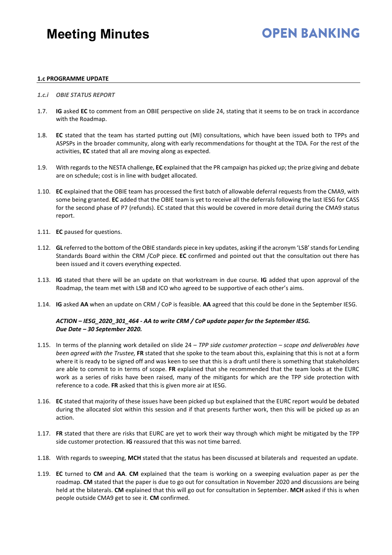## **OPEN BANKING**

### **1.c PROGRAMME UPDATE**

- *1.c.i OBIE STATUS REPORT*
- 1.7. **IG** asked **EC** to comment from an OBIE perspective on slide 24, stating that it seems to be on track in accordance with the Roadmap.
- 1.8. **EC** stated that the team has started putting out (MI) consultations, which have been issued both to TPPs and ASPSPs in the broader community, along with early recommendations for thought at the TDA. For the rest of the activities, **EC** stated that all are moving along as expected.
- 1.9. With regards to the NESTA challenge, **EC** explained that the PR campaign has picked up; the prize giving and debate are on schedule; cost is in line with budget allocated.
- 1.10. **EC** explained that the OBIE team has processed the first batch of allowable deferral requests from the CMA9, with some being granted. **EC** added that the OBIE team is yet to receive all the deferrals following the last IESG for CASS for the second phase of P7 (refunds). EC stated that this would be covered in more detail during the CMA9 status report.
- 1.11. **EC** paused for questions.
- 1.12. **GL** referred to the bottom of the OBIE standards piece in key updates, asking if the acronym 'LSB' stands for Lending Standards Board within the CRM /CoP piece. **EC** confirmed and pointed out that the consultation out there has been issued and it covers everything expected.
- 1.13. **IG** stated that there will be an update on that workstream in due course. **IG** added that upon approval of the Roadmap, the team met with LSB and ICO who agreed to be supportive of each other's aims.
- 1.14. **IG** asked **AA** when an update on CRM / CoP is feasible. **AA** agreed that this could be done in the September IESG.

## *ACTION – IESG\_2020\_301\_464 - AA to write CRM / CoP update paper for the September IESG. Due Date – 30 September 2020.*

- 1.15. In terms of the planning work detailed on slide 24 *TPP side customer protection – scope and deliverables have been agreed with the Trustee,* **FR** stated that she spoke to the team about this, explaining that this is not at a form where it is ready to be signed off and was keen to see that this is a draft until there is something that stakeholders are able to commit to in terms of scope. **FR** explained that she recommended that the team looks at the EURC work as a series of risks have been raised, many of the mitigants for which are the TPP side protection with reference to a code. **FR** asked that this is given more air at IESG.
- 1.16. **EC** stated that majority of these issues have been picked up but explained that the EURC report would be debated during the allocated slot within this session and if that presents further work, then this will be picked up as an action.
- 1.17. **FR** stated that there are risks that EURC are yet to work their way through which might be mitigated by the TPP side customer protection. **IG** reassured that this was not time barred.
- 1.18. With regards to sweeping, **MCH** stated that the status has been discussed at bilaterals and requested an update.
- 1.19. **EC** turned to **CM** and **AA**. **CM** explained that the team is working on a sweeping evaluation paper as per the roadmap. **CM** stated that the paper is due to go out for consultation in November 2020 and discussions are being held at the bilaterals. **CM** explained that this will go out for consultation in September. **MCH** asked if this is when people outside CMA9 get to see it. **CM** confirmed.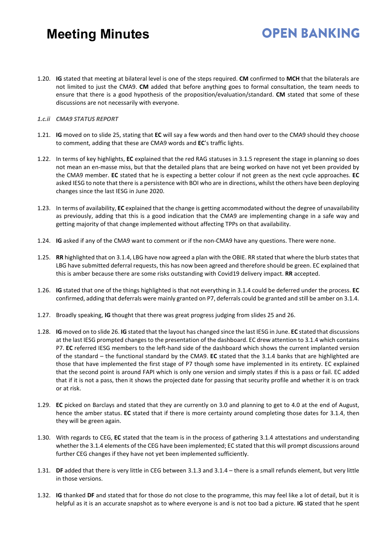## 1.20. **IG** stated that meeting at bilateral level is one of the steps required. **CM** confirmed to **MCH** that the bilaterals are not limited to just the CMA9. **CM** added that before anything goes to formal consultation, the team needs to ensure that there is a good hypothesis of the proposition/evaluation/standard. **CM** stated that some of these discussions are not necessarily with everyone.

**OPEN BANKING** 

## *1.c.ii CMA9 STATUS REPORT*

- 1.21. **IG** moved on to slide 25, stating that **EC** will say a few words and then hand over to the CMA9 should they choose to comment, adding that these are CMA9 words and **EC**'s traffic lights.
- 1.22. In terms of key highlights, **EC** explained that the red RAG statuses in 3.1.5 represent the stage in planning so does not mean an en-masse miss, but that the detailed plans that are being worked on have not yet been provided by the CMA9 member. **EC** stated that he is expecting a better colour if not green as the next cycle approaches. **EC** asked IESG to note that there is a persistence with BOI who are in directions, whilst the others have been deploying changes since the last IESG in June 2020.
- 1.23. In terms of availability, **EC** explained that the change is getting accommodated without the degree of unavailability as previously, adding that this is a good indication that the CMA9 are implementing change in a safe way and getting majority of that change implemented without affecting TPPs on that availability.
- 1.24. **IG** asked if any of the CMA9 want to comment or if the non-CMA9 have any questions. There were none.
- 1.25. **RR** highlighted that on 3.1.4, LBG have now agreed a plan with the OBIE. RR stated that where the blurb states that LBG have submitted deferral requests, this has now been agreed and therefore should be green. EC explained that this is amber because there are some risks outstanding with Covid19 delivery impact. **RR** accepted.
- 1.26. **IG** stated that one of the things highlighted is that not everything in 3.1.4 could be deferred under the process. **EC** confirmed, adding that deferrals were mainly granted on P7, deferrals could be granted and still be amber on 3.1.4.
- 1.27. Broadly speaking, **IG** thought that there was great progress judging from slides 25 and 26.
- 1.28. **IG** moved on to slide 26. **IG** stated that the layout has changed since the last IESG in June. **EC** stated that discussions at the last IESG prompted changes to the presentation of the dashboard. EC drew attention to 3.1.4 which contains P7. **EC** referred IESG members to the left-hand side of the dashboard which shows the current implanted version of the standard – the functional standard by the CMA9. **EC** stated that the 3.1.4 banks that are highlighted are those that have implemented the first stage of P7 though some have implemented in its entirety. EC explained that the second point is around FAPI which is only one version and simply states if this is a pass or fail. EC added that if it is not a pass, then it shows the projected date for passing that security profile and whether it is on track or at risk.
- 1.29. **EC** picked on Barclays and stated that they are currently on 3.0 and planning to get to 4.0 at the end of August, hence the amber status. **EC** stated that if there is more certainty around completing those dates for 3.1.4, then they will be green again.
- 1.30. With regards to CEG, **EC** stated that the team is in the process of gathering 3.1.4 attestations and understanding whether the 3.1.4 elements of the CEG have been implemented; EC stated that this will prompt discussions around further CEG changes if they have not yet been implemented sufficiently.
- 1.31. **DF** added that there is very little in CEG between 3.1.3 and 3.1.4 there is a small refunds element, but very little in those versions.
- 1.32. **IG** thanked **DF** and stated that for those do not close to the programme, this may feel like a lot of detail, but it is helpful as it is an accurate snapshot as to where everyone is and is not too bad a picture. **IG** stated that he spent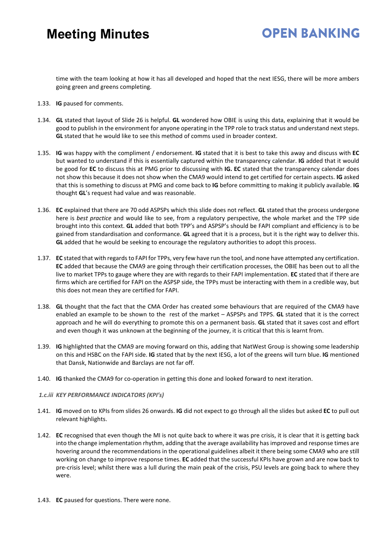# **OPEN BANKING**

time with the team looking at how it has all developed and hoped that the next IESG, there will be more ambers going green and greens completing.

- 1.33. **IG** paused for comments.
- 1.34. **GL** stated that layout of Slide 26 is helpful. **GL** wondered how OBIE is using this data, explaining that it would be good to publish in the environment for anyone operating in the TPP role to track status and understand next steps. **GL** stated that he would like to see this method of comms used in broader context.
- 1.35. **IG** was happy with the compliment / endorsement. **IG** stated that it is best to take this away and discuss with **EC** but wanted to understand if this is essentially captured within the transparency calendar. **IG** added that it would be good for **EC** to discuss this at PMG prior to discussing with **IG. EC** stated that the transparency calendar does not show this because it does not show when the CMA9 would intend to get certified for certain aspects. **IG** asked that this is something to discuss at PMG and come back to **IG** before committing to making it publicly available. **IG** thought **GL**'s request had value and was reasonable.
- 1.36. **EC** explained that there are 70 odd ASPSPs which this slide does not reflect. **GL** stated that the process undergone here is *best practice* and would like to see, from a regulatory perspective, the whole market and the TPP side brought into this context. **GL** added that both TPP's and ASPSP's should be FAPI compliant and efficiency is to be gained from standardisation and conformance. **GL** agreed that it is a process, but it is the right way to deliver this. **GL** added that he would be seeking to encourage the regulatory authorities to adopt this process.
- 1.37. **EC** stated that with regards to FAPI for TPPs, very few have run the tool, and none have attempted any certification. **EC** added that because the CMA9 are going through their certification processes, the OBIE has been out to all the live to market TPPs to gauge where they are with regards to their FAPI implementation. **EC** stated that if there are firms which are certified for FAPI on the ASPSP side, the TPPs must be interacting with them in a credible way, but this does not mean they are certified for FAPI.
- 1.38. **GL** thought that the fact that the CMA Order has created some behaviours that are required of the CMA9 have enabled an example to be shown to the rest of the market – ASPSPs and TPPS. **GL** stated that it is the correct approach and he will do everything to promote this on a permanent basis. **GL** stated that it saves cost and effort and even though it was unknown at the beginning of the journey, it is critical that this is learnt from.
- 1.39. **IG** highlighted that the CMA9 are moving forward on this, adding that NatWest Group is showing some leadership on this and HSBC on the FAPI side. **IG** stated that by the next IESG, a lot of the greens will turn blue. **IG** mentioned that Dansk, Nationwide and Barclays are not far off.
- 1.40. **IG** thanked the CMA9 for co-operation in getting this done and looked forward to next iteration.

## *1.c.iii KEY PERFORMANCE INDICATORS (KPI's)*

- 1.41. **IG** moved on to KPIs from slides 26 onwards. **IG** did not expect to go through all the slides but asked **EC** to pull out relevant highlights.
- 1.42. **EC** recognised that even though the MI is not quite back to where it was pre crisis, it is clear that it is getting back into the change implementation rhythm, adding that the average availability has improved and response times are hovering around the recommendations in the operational guidelines albeit it there being some CMA9 who are still working on change to improve response times. **EC** added that the successful KPIs have grown and are now back to pre-crisis level; whilst there was a lull during the main peak of the crisis, PSU levels are going back to where they were.
- 1.43. **EC** paused for questions. There were none.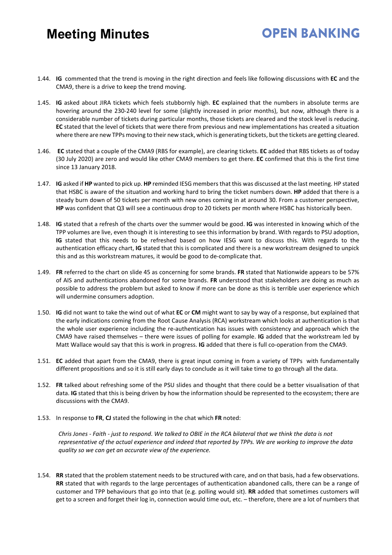## **OPEN BANKING**

- 1.44. **IG** commented that the trend is moving in the right direction and feels like following discussions with **EC** and the CMA9, there is a drive to keep the trend moving.
- 1.45. **IG** asked about JIRA tickets which feels stubbornly high. **EC** explained that the numbers in absolute terms are hovering around the 230-240 level for some (slightly increased in prior months), but now, although there is a considerable number of tickets during particular months, those tickets are cleared and the stock level is reducing. **EC** stated that the level of tickets that were there from previous and new implementations has created a situation where there are new TPPs moving to their new stack, which is generating tickets, but the tickets are getting cleared.
- 1.46. **EC** stated that a couple of the CMA9 (RBS for example), are clearing tickets. **EC** added that RBS tickets as of today (30 July 2020) are zero and would like other CMA9 members to get there. **EC** confirmed that this is the first time since 13 January 2018.
- 1.47. **IG** asked if **HP** wanted to pick up. **HP** reminded IESG members that this was discussed at the last meeting. HP stated that HSBC is aware of the situation and working hard to bring the ticket numbers down. **HP** added that there is a steady burn down of 50 tickets per month with new ones coming in at around 30. From a customer perspective, **HP** was confident that Q3 will see a continuous drop to 20 tickets per month where HSBC has historically been.
- 1.48. **IG** stated that a refresh of the charts over the summer would be good. **IG** was interested in knowing which of the TPP volumes are live, even though it is interesting to see this information by brand. With regards to PSU adoption, **IG** stated that this needs to be refreshed based on how IESG want to discuss this. With regards to the authentication efficacy chart, **IG** stated that this is complicated and there is a new workstream designed to unpick this and as this workstream matures, it would be good to de-complicate that.
- 1.49. **FR** referred to the chart on slide 45 as concerning for some brands. **FR** stated that Nationwide appears to be 57% of AIS and authentications abandoned for some brands. **FR** understood that stakeholders are doing as much as possible to address the problem but asked to know if more can be done as this is terrible user experience which will undermine consumers adoption.
- 1.50. **IG** did not want to take the wind out of what **EC** or **CM** might want to say by way of a response, but explained that the early indications coming from the Root Cause Analysis (RCA) workstream which looks at authentication is that the whole user experience including the re-authentication has issues with consistency and approach which the CMA9 have raised themselves – there were issues of polling for example. **IG** added that the workstream led by Matt Wallace would say that this is work in progress. **IG** added that there is full co-operation from the CMA9.
- 1.51. **EC** added that apart from the CMA9, there is great input coming in from a variety of TPPs with fundamentally different propositions and so it is still early days to conclude as it will take time to go through all the data.
- 1.52. **FR** talked about refreshing some of the PSU slides and thought that there could be a better visualisation of that data. **IG** stated that this is being driven by how the information should be represented to the ecosystem; there are discussions with the CMA9.
- 1.53. In response to **FR**, **CJ** stated the following in the chat which **FR** noted:

*Chris Jones - Faith - just to respond. We talked to OBIE in the RCA bilateral that we think the data is not representative of the actual experience and indeed that reported by TPPs. We are working to improve the data quality so we can get an accurate view of the experience.*

1.54. **RR** stated that the problem statement needs to be structured with care, and on that basis, had a few observations. **RR** stated that with regards to the large percentages of authentication abandoned calls, there can be a range of customer and TPP behaviours that go into that (e.g. polling would sit). **RR** added that sometimes customers will get to a screen and forget their log in, connection would time out, etc. – therefore, there are a lot of numbers that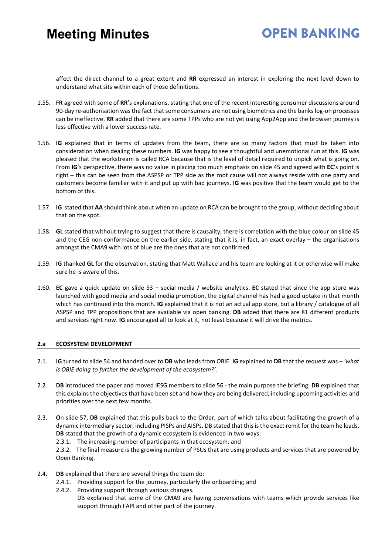# **OPEN BANKING**

affect the direct channel to a great extent and **RR** expressed an interest in exploring the next level down to understand what sits within each of those definitions.

- 1.55. **FR** agreed with some of **RR**'s explanations, stating that one of the recent interesting consumer discussions around 90-day re-authorisation was the fact that some consumers are not using biometrics and the banks log-on processes can be ineffective. **RR** added that there are some TPPs who are not yet using App2App and the browser journey is less effective with a lower success rate.
- 1.56. **IG** explained that in terms of updates from the team, there are so many factors that must be taken into consideration when dealing these numbers. **IG** was happy to see a thoughtful and unemotional run at this. **IG** was pleased that the workstream is called RCA because that is the level of detail required to unpick what is going on. From **IG**'s perspective, there was no value in placing too much emphasis on slide 45 and agreed with **EC**'s point is right – this can be seen from the ASPSP or TPP side as the root cause will not always reside with one party and customers become familiar with it and put up with bad journeys. **IG** was positive that the team would get to the bottom of this.
- 1.57. **IG** stated that **AA** should think about when an update on RCA can be brought to the group, without deciding about that on the spot.
- 1.58. **GL** stated that without trying to suggest that there is causality, there is correlation with the blue colour on slide 45 and the CEG non-conformance on the earlier side, stating that it is, in fact, an exact overlay – the organisations amongst the CMA9 with lots of blue are the ones that are not confirmed.
- 1.59. **IG** thanked **GL** for the observation, stating that Matt Wallace and his team are looking at it or otherwise will make sure he is aware of this.
- 1.60. **EC** gave a quick update on slide 53 social media / website analytics. **EC** stated that since the app store was launched with good media and social media promotion, the digital channel has had a good uptake in that month which has continued into this month. **IG** explained that it is not an actual app store, but a library / catalogue of all ASPSP and TPP propositions that are available via open banking. **DB** added that there are 81 different products and services right now. **IG** encouraged all to look at it, not least because it will drive the metrics.

## **2.a ECOSYSTEM DEVELOPMENT**

- 2.1. **IG** turned to slide 54 and handed over to **DB** who leads from OBIE. **IG** explained to **DB** that the request was *'what is OBIE doing to further the development of the ecosystem?'.*
- 2.2. **DB** introduced the paper and moved IESG members to slide 56 the main purpose the briefing. **DB** explained that this explains the objectives that have been set and how they are being delivered, including upcoming activities and priorities over the next few months.
- 2.3. **O**n slide 57, **DB** explained that this pulls back to the Order, part of which talks about facilitating the growth of a dynamic intermediary sector, including PISPs and AISPs. DB stated that this is the exact remit for the team he leads. **DB** stated that the growth of a dynamic ecosystem is evidenced in two ways:
	- 2.3.1. The increasing number of participants in that ecosystem; and

2.3.2. The final measure is the growing number of PSUs that are using products and services that are powered by Open Banking.

- 2.4. **DB** explained that there are several things the team do:
	- 2.4.1. Providing support for the journey, particularly the onboarding; and
	- 2.4.2. Providing support through various changes.
		- DB explained that some of the CMA9 are having conversations with teams which provide services like support through FAPI and other part of the journey.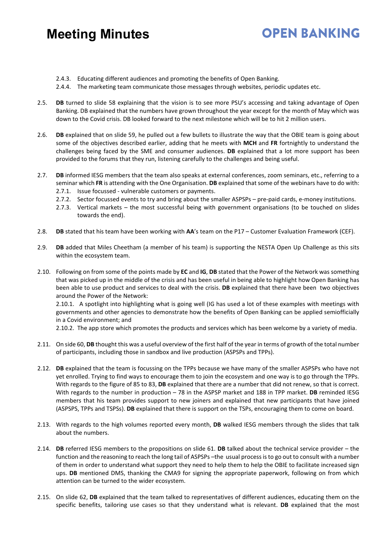## **OPEN BANKING**

- 2.4.3. Educating different audiences and promoting the benefits of Open Banking.
- 2.4.4. The marketing team communicate those messages through websites, periodic updates etc.
- 2.5. **DB** turned to slide 58 explaining that the vision is to see more PSU's accessing and taking advantage of Open Banking. DB explained that the numbers have grown throughout the year except for the month of May which was down to the Covid crisis. DB looked forward to the next milestone which will be to hit 2 million users.
- 2.6. **DB** explained that on slide 59, he pulled out a few bullets to illustrate the way that the OBIE team is going about some of the objectives described earlier, adding that he meets with **MCH** and **FR** fortnightly to understand the challenges being faced by the SME and consumer audiences. **DB** explained that a lot more support has been provided to the forums that they run, listening carefully to the challenges and being useful.
- 2.7. **DB** informed IESG members that the team also speaks at external conferences, zoom seminars, etc., referring to a seminar which **FR** is attending with the One Organisation. **DB** explained that some of the webinars have to do with:
	- 2.7.1. Issue focussed vulnerable customers or payments.
	- 2.7.2. Sector focussed events to try and bring about the smaller ASPSPs pre-paid cards, e-money institutions.
	- 2.7.3. Vertical markets the most successful being with government organisations (to be touched on slides towards the end).
- 2.8. **DB** stated that his team have been working with **AA**'s team on the P17 Customer Evaluation Framework (CEF).
- 2.9. **DB** added that Miles Cheetham (a member of his team) is supporting the NESTA Open Up Challenge as this sits within the ecosystem team.
- 2.10. Following on from some of the points made by **EC** and **IG**, **DB** stated that the Power of the Network was something that was picked up in the middle of the crisis and has been useful in being able to highlight how Open Banking has been able to use product and services to deal with the crisis. **DB** explained that there have been two objectives around the Power of the Network: 2.10.1. A spotlight into highlighting what is going well (IG has used a lot of these examples with meetings with

governments and other agencies to demonstrate how the benefits of Open Banking can be applied semiofficially in a Covid environment; and

2.10.2. The app store which promotes the products and services which has been welcome by a variety of media.

- 2.11. On side 60, **DB** thought this was a useful overview of the first half of the year in terms of growth of the total number of participants, including those in sandbox and live production (ASPSPs and TPPs).
- 2.12. **DB** explained that the team is focussing on the TPPs because we have many of the smaller ASPSPs who have not yet enrolled. Trying to find ways to encourage them to join the ecosystem and one way is to go through the TPPs. With regards to the figure of 85 to 83, **DB** explained that there are a number that did not renew, so that is correct. With regards to the number in production – 78 in the ASPSP market and 188 in TPP market. **DB** reminded IESG members that his team provides support to new joiners and explained that new participants that have joined (ASPSPS, TPPs and TSPSs). **DB** explained that there is support on the TSPs, encouraging them to come on board.
- 2.13. With regards to the high volumes reported every month, **DB** walked IESG members through the slides that talk about the numbers.
- 2.14. **DB** referred IESG members to the propositions on slide 61. **DB** talked about the technical service provider the function and the reasoning to reach the long tail of ASPSPs –the usual process is to go out to consult with a number of them in order to understand what support they need to help them to help the OBIE to facilitate increased sign ups. **DB** mentioned DMS, thanking the CMA9 for signing the appropriate paperwork, following on from which attention can be turned to the wider ecosystem.
- 2.15. On slide 62, **DB** explained that the team talked to representatives of different audiences, educating them on the specific benefits, tailoring use cases so that they understand what is relevant. **DB** explained that the most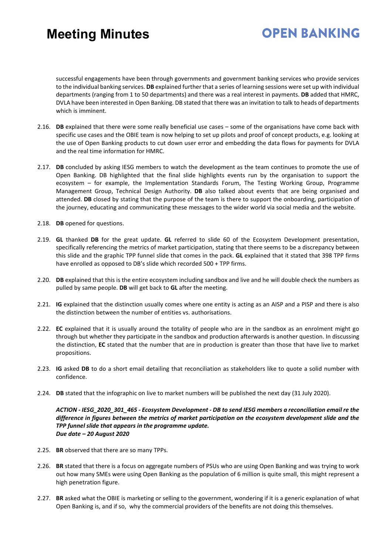# **OPEN BANKING**

successful engagements have been through governments and government banking services who provide services to the individual banking services. **DB** explained further that a series of learning sessions were set up with individual departments (ranging from 1 to 50 departments) and there was a real interest in payments. **DB** added that HMRC, DVLA have been interested in Open Banking. DB stated that there was an invitation to talk to heads of departments which is imminent.

- 2.16. **DB** explained that there were some really beneficial use cases some of the organisations have come back with specific use cases and the OBIE team is now helping to set up pilots and proof of concept products, e.g. looking at the use of Open Banking products to cut down user error and embedding the data flows for payments for DVLA and the real time information for HMRC.
- 2.17. **DB** concluded by asking IESG members to watch the development as the team continues to promote the use of Open Banking. DB highlighted that the final slide highlights events run by the organisation to support the ecosystem – for example, the Implementation Standards Forum, The Testing Working Group, Programme Management Group, Technical Design Authority. **DB** also talked about events that are being organised and attended. **DB** closed by stating that the purpose of the team is there to support the onboarding, participation of the journey, educating and communicating these messages to the wider world via social media and the website.
- 2.18. **DB** opened for questions.
- 2.19. **GL** thanked **DB** for the great update. **GL** referred to slide 60 of the Ecosystem Development presentation, specifically referencing the metrics of market participation, stating that there seems to be a discrepancy between this slide and the graphic TPP funnel slide that comes in the pack. **GL** explained that it stated that 398 TPP firms have enrolled as opposed to DB's slide which recorded 500 + TPP firms.
- 2.20. **DB** explained that this is the entire ecosystem including sandbox and live and he will double check the numbers as pulled by same people. **DB** will get back to **GL** after the meeting.
- 2.21. **IG** explained that the distinction usually comes where one entity is acting as an AISP and a PISP and there is also the distinction between the number of entities vs. authorisations.
- 2.22. **EC** explained that it is usually around the totality of people who are in the sandbox as an enrolment might go through but whether they participate in the sandbox and production afterwards is another question. In discussing the distinction, **EC** stated that the number that are in production is greater than those that have live to market propositions.
- 2.23. **IG** asked **DB** to do a short email detailing that reconciliation as stakeholders like to quote a solid number with confidence.
- 2.24. **DB** stated that the infographic on live to market numbers will be published the next day (31 July 2020).

*ACTION - IESG\_2020\_301\_465 - Ecosystem Development - DB to send IESG members a reconciliation email re the difference in figures between the metrics of market participation on the ecosystem development slide and the TPP funnel slide that appears in the programme update. Due date – 20 August 2020* 

- 2.25. **BR** observed that there are so many TPPs.
- 2.26. **BR** stated that there is a focus on aggregate numbers of PSUs who are using Open Banking and was trying to work out how many SMEs were using Open Banking as the population of 6 million is quite small, this might represent a high penetration figure.
- 2.27. **BR** asked what the OBIE is marketing or selling to the government, wondering if it is a generic explanation of what Open Banking is, and if so, why the commercial providers of the benefits are not doing this themselves.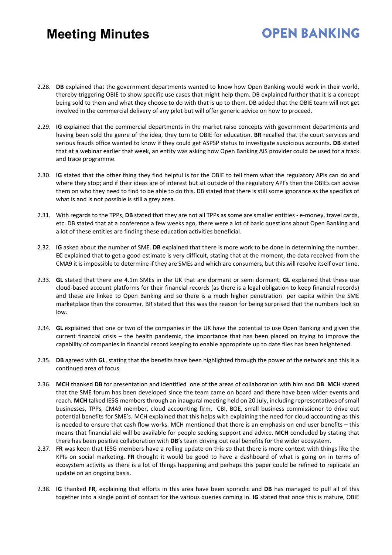2.28. **DB** explained that the government departments wanted to know how Open Banking would work in their world, thereby triggering OBIE to show specific use cases that might help them. DB explained further that it is a concept being sold to them and what they choose to do with that is up to them. DB added that the OBIE team will not get involved in the commercial delivery of any pilot but will offer generic advice on how to proceed.

**OPEN BANKING** 

- 2.29. **IG** explained that the commercial departments in the market raise concepts with government departments and having been sold the genre of the idea, they turn to OBIE for education. **BR** recalled that the court services and serious frauds office wanted to know if they could get ASPSP status to investigate suspicious accounts. **DB** stated that at a webinar earlier that week, an entity was asking how Open Banking AIS provider could be used for a track and trace programme.
- 2.30. **IG** stated that the other thing they find helpful is for the OBIE to tell them what the regulatory APIs can do and where they stop; and if their ideas are of interest but sit outside of the regulatory API's then the OBIEs can advise them on who they need to find to be able to do this. DB stated that there is still some ignorance as the specifics of what is and is not possible is still a grey area.
- 2.31. With regards to the TPPs, **DB** stated that they are not all TPPs as some are smaller entities e-money, travel cards, etc. DB stated that at a conference a few weeks ago, there were a lot of basic questions about Open Banking and a lot of these entities are finding these education activities beneficial.
- 2.32. **IG** asked about the number of SME. **DB** explained that there is more work to be done in determining the number. **EC** explained that to get a good estimate is very difficult, stating that at the moment, the data received from the CMA9 it is impossible to determine if they are SMEs and which are consumers, but this will resolve itself over time.
- 2.33. **GL** stated that there are 4.1m SMEs in the UK that are dormant or semi dormant. **GL** explained that these use cloud-based account platforms for their financial records (as there is a legal obligation to keep financial records) and these are linked to Open Banking and so there is a much higher penetration per capita within the SME marketplace than the consumer. BR stated that this was the reason for being surprised that the numbers look so low.
- 2.34. **GL** explained that one or two of the companies in the UK have the potential to use Open Banking and given the current financial crisis – the health pandemic, the importance that has been placed on trying to improve the capability of companies in financial record keeping to enable appropriate up to date files has been heightened.
- 2.35. **DB** agreed with **GL**, stating that the benefits have been highlighted through the power of the network and this is a continued area of focus.
- 2.36. **MCH** thanked **DB** for presentation and identified one of the areas of collaboration with him and **DB**. **MCH** stated that the SME forum has been developed since the team came on board and there have been wider events and reach. **MCH** talked IESG members through an inaugural meeting held on 20 July, including representatives of small businesses, TPPs, CMA9 member, cloud accounting firm, CBI, BOE, small business commissioner to drive out potential benefits for SME's. MCH explained that this helps with explaining the need for cloud accounting as this is needed to ensure that cash flow works. MCH mentioned that there is an emphasis on end user benefits – this means that financial aid will be available for people seeking support and advice. **MCH** concluded by stating that there has been positive collaboration with **DB**'s team driving out real benefits for the wider ecosystem.
- 2.37. **FR** was keen that IESG members have a rolling update on this so that there is more context with things like the KPIs on social marketing. **FR** thought it would be good to have a dashboard of what is going on in terms of ecosystem activity as there is a lot of things happening and perhaps this paper could be refined to replicate an update on an ongoing basis.
- 2.38. **IG** thanked **FR**, explaining that efforts in this area have been sporadic and **DB** has managed to pull all of this together into a single point of contact for the various queries coming in. **IG** stated that once this is mature, OBIE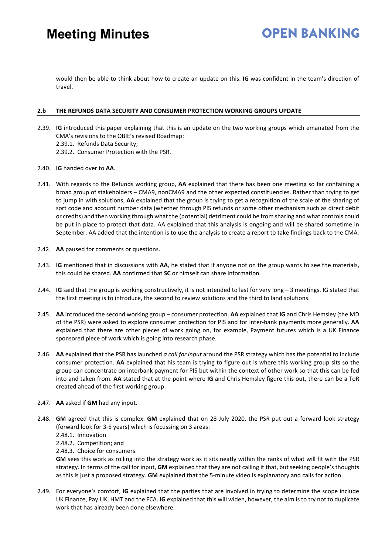would then be able to think about how to create an update on this. **IG** was confident in the team's direction of travel.

### **2.b THE REFUNDS DATA SECURITY AND CONSUMER PROTECTION WORKING GROUPS UPDATE**

- 2.39. **IG** introduced this paper explaining that this is an update on the two working groups which emanated from the CMA's revisions to the OBIE's revised Roadmap:
	- 2.39.1. Refunds Data Security;
	- 2.39.2. Consumer Protection with the PSR.
- 2.40. **IG** handed over to **AA**.
- 2.41. With regards to the Refunds working group, **AA** explained that there has been one meeting so far containing a broad group of stakeholders – CMA9, nonCMA9 and the other expected constituencies. Rather than trying to get to jump in with solutions, **AA** explained that the group is trying to get a recognition of the scale of the sharing of sort code and account number data (whether through PIS refunds or some other mechanism such as direct debit or credits) and then working through what the (potential) detriment could be from sharing and what controls could be put in place to protect that data. AA explained that this analysis is ongoing and will be shared sometime in September. AA added that the intention is to use the analysis to create a report to take findings back to the CMA.
- 2.42. **AA** paused for comments or questions.
- 2.43. **IG** mentioned that in discussions with **AA**, he stated that if anyone not on the group wants to see the materials, this could be shared. **AA** confirmed that **SC** or himself can share information.
- 2.44. **IG** said that the group is working constructively, it is not intended to last for very long 3 meetings. IG stated that the first meeting is to introduce, the second to review solutions and the third to land solutions.
- 2.45. **AA** introduced the second working group consumer protection. **AA** explained that **IG** and Chris Hemsley (the MD of the PSR) were asked to explore consumer protection for PIS and for inter-bank payments more generally. **AA** explained that there are other pieces of work going on, for example, Payment futures which is a UK Finance sponsored piece of work which is going into research phase.
- 2.46. **AA** explained that the PSR has launched *a call for input* around the PSR strategy which has the potential to include consumer protection. **AA** explained that his team is trying to figure out is where this working group sits so the group can concentrate on interbank payment for PIS but within the context of other work so that this can be fed into and taken from. **AA** stated that at the point where **IG** and Chris Hemsley figure this out, there can be a ToR created ahead of the first working group.
- 2.47. **AA** asked if **GM** had any input.
- 2.48. **GM** agreed that this is complex. **GM** explained that on 28 July 2020, the PSR put out a forward look strategy (forward look for 3-5 years) which is focussing on 3 areas:
	- 2.48.1. Innovation
	- 2.48.2. Competition; and
	- 2.48.3. Choice for consumers

**GM** sees this work as rolling into the strategy work as it sits neatly within the ranks of what will fit with the PSR strategy. In terms of the call for input, **GM** explained that they are not calling it that, but seeking people's thoughts as this is just a proposed strategy. **GM** explained that the 5-minute video is explanatory and calls for action.

2.49. For everyone's comfort, **IG** explained that the parties that are involved in trying to determine the scope include UK Finance, Pay.UK, HMT and the FCA. **IG** explained that this will widen, however, the aim is to try not to duplicate work that has already been done elsewhere.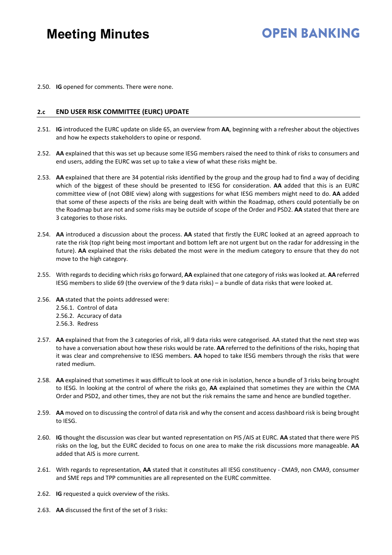## **OPEN BANKING**

2.50. **IG** opened for comments. There were none.

## **2.c END USER RISK COMMITTEE (EURC) UPDATE**

- 2.51. **IG** introduced the EURC update on slide 65, an overview from **AA**, beginning with a refresher about the objectives and how he expects stakeholders to opine or respond.
- 2.52. **AA** explained that this was set up because some IESG members raised the need to think of risks to consumers and end users, adding the EURC was set up to take a view of what these risks might be.
- 2.53. **AA** explained that there are 34 potential risks identified by the group and the group had to find a way of deciding which of the biggest of these should be presented to IESG for consideration. **AA** added that this is an EURC committee view of (not OBIE view) along with suggestions for what IESG members might need to do. **AA** added that some of these aspects of the risks are being dealt with within the Roadmap, others could potentially be on the Roadmap but are not and some risks may be outside of scope of the Order and PSD2. **AA** stated that there are 3 categories to those risks.
- 2.54. **AA** introduced a discussion about the process. **AA** stated that firstly the EURC looked at an agreed approach to rate the risk (top right being most important and bottom left are not urgent but on the radar for addressing in the future). **AA** explained that the risks debated the most were in the medium category to ensure that they do not move to the high category.
- 2.55. With regards to deciding which risks go forward, **AA** explained that one category of risks was looked at. **AA** referred IESG members to slide 69 (the overview of the 9 data risks) – a bundle of data risks that were looked at.
- 2.56. **AA** stated that the points addressed were:
	- 2.56.1. Control of data
	- 2.56.2. Accuracy of data
	- 2.56.3. Redress
- 2.57. **AA** explained that from the 3 categories of risk, all 9 data risks were categorised. AA stated that the next step was to have a conversation about how these risks would be rate. **AA** referred to the definitions of the risks, hoping that it was clear and comprehensive to IESG members. **AA** hoped to take IESG members through the risks that were rated medium.
- 2.58. **AA** explained that sometimes it was difficult to look at one risk in isolation, hence a bundle of 3 risks being brought to IESG. In looking at the control of where the risks go, **AA** explained that sometimes they are within the CMA Order and PSD2, and other times, they are not but the risk remains the same and hence are bundled together.
- 2.59. **AA** moved on to discussing the control of data risk and why the consent and access dashboard risk is being brought to IESG.
- 2.60. **IG** thought the discussion was clear but wanted representation on PIS /AIS at EURC. **AA** stated that there were PIS risks on the log, but the EURC decided to focus on one area to make the risk discussions more manageable. **AA** added that AIS is more current.
- 2.61. With regards to representation, **AA** stated that it constitutes all IESG constituency CMA9, non CMA9, consumer and SME reps and TPP communities are all represented on the EURC committee.
- 2.62. **IG** requested a quick overview of the risks.
- 2.63. **AA** discussed the first of the set of 3 risks: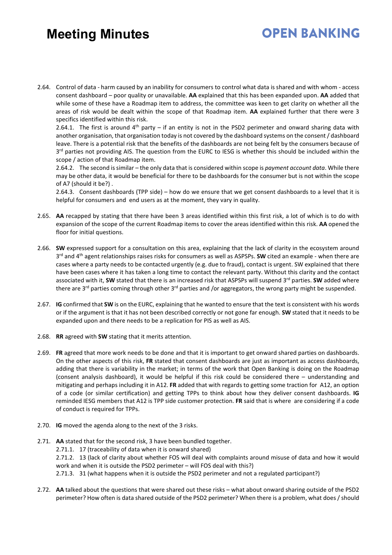# **OPEN BANKING**

2.64. Control of data - harm caused by an inability for consumers to control what data is shared and with whom - access consent dashboard – poor quality or unavailable. **AA** explained that this has been expanded upon. **AA** added that while some of these have a Roadmap item to address, the committee was keen to get clarity on whether all the areas of risk would be dealt within the scope of that Roadmap item. **AA** explained further that there were 3 specifics identified within this risk.

2.64.1. The first is around 4<sup>th</sup> party – if an entity is not in the PSD2 perimeter and onward sharing data with another organisation, that organisation today is not covered by the dashboard systems on the consent / dashboard leave. There is a potential risk that the benefits of the dashboards are not being felt by the consumers because of 3<sup>rd</sup> parties not providing AIS. The question from the EURC to IESG is whether this should be included within the scope / action of that Roadmap item.

2.64.2. The second is similar – the only data that is considered within scope is *payment account data*. While there may be other data, it would be beneficial for there to be dashboards for the consumer but is not within the scope of A7 (should it be?) .

2.64.3. Consent dashboards (TPP side) – how do we ensure that we get consent dashboards to a level that it is helpful for consumers and end users as at the moment, they vary in quality.

- 2.65. **AA** recapped by stating that there have been 3 areas identified within this first risk, a lot of which is to do with expansion of the scope of the current Roadmap items to cover the areas identified within this risk. **AA** opened the floor for initial questions.
- 2.66. **SW** expressed support for a consultation on this area, explaining that the lack of clarity in the ecosystem around 3rd and 4th agent relationships raises risks for consumers as well as ASPSPs. **SW** cited an example - when there are cases where a party needs to be contacted urgently (e.g. due to fraud), contact is urgent. SW explained that there have been cases where it has taken a long time to contact the relevant party. Without this clarity and the contact associated with it, SW stated that there is an increased risk that ASPSPs will suspend 3<sup>rd</sup> parties. SW added where there are 3<sup>rd</sup> parties coming through other 3<sup>rd</sup> parties and /or aggregators, the wrong party might be suspended.
- 2.67. **IG** confirmed that **SW** is on the EURC, explaining that he wanted to ensure that the text is consistent with his words or if the argument is that it has not been described correctly or not gone far enough. **SW** stated that it needs to be expanded upon and there needs to be a replication for PIS as well as AIS.
- 2.68. **RR** agreed with **SW** stating that it merits attention.
- 2.69. **FR** agreed that more work needs to be done and that it is important to get onward shared parties on dashboards. On the other aspects of this risk, **FR** stated that consent dashboards are just as important as access dashboards, adding that there is variability in the market; in terms of the work that Open Banking is doing on the Roadmap (consent analysis dashboard), it would be helpful if this risk could be considered there – understanding and mitigating and perhaps including it in A12. **FR** added that with regards to getting some traction for A12, an option of a code (or similar certification) and getting TPPs to think about how they deliver consent dashboards. **IG** reminded IESG members that A12 is TPP side customer protection. **FR** said that is where are considering if a code of conduct is required for TPPs.
- 2.70. **IG** moved the agenda along to the next of the 3 risks.
- 2.71. **AA** stated that for the second risk, 3 have been bundled together.
	- 2.71.1. 17 (traceability of data when it is onward shared)
	- 2.71.2. 13 (lack of clarity about whether FOS will deal with complaints around misuse of data and how it would work and when it is outside the PSD2 perimeter – will FOS deal with this?)
	- 2.71.3. 31 (what happens when it is outside the PSD2 perimeter and not a regulated participant?)
- 2.72. **AA** talked about the questions that were shared out these risks what about onward sharing outside of the PSD2 perimeter? How often is data shared outside of the PSD2 perimeter? When there is a problem, what does / should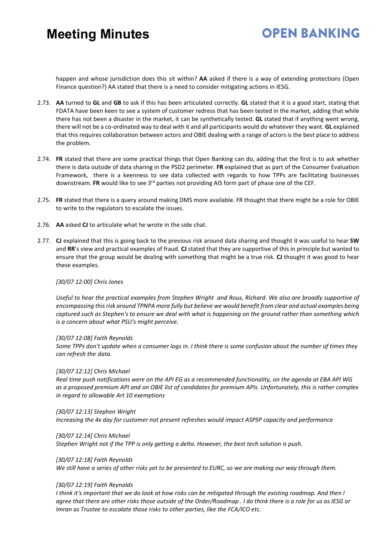## **OPEN BANKING**

happen and whose jurisdiction does this sit within? **AA** asked if there is a way of extending protections (Open Finance question?) AA stated that there is a need to consider mitigating actions in IESG.

- 2.73. **AA** turned to **GL** and **GB** to ask if this has been articulated correctly. **GL** stated that it is a good start, stating that FDATA have been keen to see a system of customer redress that has been tested in the market, adding that while there has not been a disaster in the market, it can be synthetically tested. **GL** stated that if anything went wrong, there will not be a co-ordinated way to deal with it and all participants would do whatever they want. **GL** explained that this requires collaboration between actors and OBIE dealing with a range of actors is the best place to address the problem.
- 2.74. **FR** stated that there are some practical things that Open Banking can do, adding that the first is to ask whether there is data outside of data sharing in the PSD2 perimeter. **FR** explained that as part of the Consumer Evaluation Framework, there is a keenness to see data collected with regards to how TPPs are facilitating businesses downstream. **FR** would like to see 3rd parties not providing AIS form part of phase one of the CEF.
- 2.75. **FR** stated that there is a query around making DMS more available. FR thought that there might be a role for OBIE to write to the regulators to escalate the issues.
- 2.76. **AA** asked **CJ** to articulate what he wrote in the side chat.
- 2.77. **CJ** explained that this is going back to the previous risk around data sharing and thought it was useful to hear **SW** and **RR**'s view and practical examples of fraud. **CJ** stated that they are supportive of this in principle but wanted to ensure that the group would be dealing with something that might be a true risk. **CJ** thought it was good to hear these examples.

#### *[30/07 12:00] Chris Jones*

*Useful to hear the practical examples from Stephen Wright and Rous, Richard. We also are broadly supportive of encompassing this risk around TPNPA more fully but believe we would benefit from clear and actual examples being captured such as Stephen's to ensure we deal with what is happening on the ground rather than something which is a concern about what PSU's might perceive.*

#### *[30/07 12:08] Faith Reynolds*

*Some TPPs don't update when a consumer logs in. I think there is some confusion about the number of times they can refresh the data.*

#### *[30/07 12:12] Chris Michael*

*Real time push notifications were on the API EG as a recommended functionality, on the agenda at EBA API WG as a proposed premium API and on OBIE list of candidates for premium APIs. Unfortunately, this is rather complex in regard to allowable Art 10 exemptions*

#### *[30/07 12:13] Stephen Wright*

*Increasing the 4x day for customer not present refreshes would impact ASPSP capacity and performance*

#### *[30/07 12:14] Chris Michael*

*Stephen Wright not if the TPP is only getting a delta. However, the best tech solution is push.*

#### *[30/07 12:18] Faith Reynolds*

*We still have a series of other risks yet to be presented to EURC, so we are making our way through them.*

## *[30/07 12:19] Faith Reynolds*

*I think it's important that we do look at how risks can be mitigated through the existing roadmap. And then I agree that there are other risks those outside of the Order/Roadmap . I do think there is a role for us as IESG or Imran as Trustee to escalate those risks to other parties, like the FCA/ICO etc.*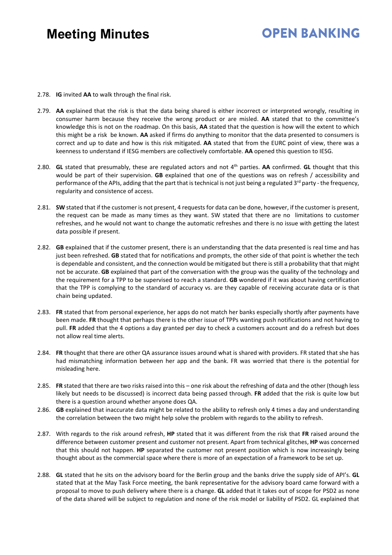## **OPEN BANKING**

- 2.78. **IG** invited **AA** to walk through the final risk.
- 2.79. **AA** explained that the risk is that the data being shared is either incorrect or interpreted wrongly, resulting in consumer harm because they receive the wrong product or are misled. **AA** stated that to the committee's knowledge this is not on the roadmap. On this basis, **AA** stated that the question is how will the extent to which this might be a risk be known. **AA** asked if firms do anything to monitor that the data presented to consumers is correct and up to date and how is this risk mitigated. **AA** stated that from the EURC point of view, there was a keenness to understand if IESG members are collectively comfortable. **AA** opened this question to IESG.
- 2.80. **GL** stated that presumably, these are regulated actors and not 4th parties. **AA** confirmed. **GL** thought that this would be part of their supervision. **GB** explained that one of the questions was on refresh / accessibility and performance of the APIs, adding that the part that is technical is not just being a regulated  $3^{rd}$  party - the frequency, regularity and consistence of access.
- 2.81. **SW** stated that if the customer is not present, 4 requests for data can be done, however, if the customer is present, the request can be made as many times as they want. SW stated that there are no limitations to customer refreshes, and he would not want to change the automatic refreshes and there is no issue with getting the latest data possible if present.
- 2.82. **GB** explained that if the customer present, there is an understanding that the data presented is real time and has just been refreshed. **GB** stated that for notifications and prompts, the other side of that point is whether the tech is dependable and consistent, and the connection would be mitigated but there is still a probability that that might not be accurate. **GB** explained that part of the conversation with the group was the quality of the technology and the requirement for a TPP to be supervised to reach a standard. **GB** wondered if it was about having certification that the TPP is complying to the standard of accuracy vs. are they capable of receiving accurate data or is that chain being updated.
- 2.83. **FR** stated that from personal experience, her apps do not match her banks especially shortly after payments have been made. **FR** thought that perhaps there is the other issue of TPPs wanting push notifications and not having to pull. **FR** added that the 4 options a day granted per day to check a customers account and do a refresh but does not allow real time alerts.
- 2.84. **FR** thought that there are other QA assurance issues around what is shared with providers. FR stated that she has had mismatching information between her app and the bank. FR was worried that there is the potential for misleading here.
- 2.85. **FR** stated that there are two risks raised into this one risk about the refreshing of data and the other (though less likely but needs to be discussed) is incorrect data being passed through. **FR** added that the risk is quite low but there is a question around whether anyone does QA.
- 2.86. **GB** explained that inaccurate data might be related to the ability to refresh only 4 times a day and understanding the correlation between the two might help solve the problem with regards to the ability to refresh.
- 2.87. With regards to the risk around refresh, **HP** stated that it was different from the risk that **FR** raised around the difference between customer present and customer not present. Apart from technical glitches, **HP** was concerned that this should not happen. **HP** separated the customer not present position which is now increasingly being thought about as the commercial space where there is more of an expectation of a framework to be set up.
- 2.88. **GL** stated that he sits on the advisory board for the Berlin group and the banks drive the supply side of API's. **GL** stated that at the May Task Force meeting, the bank representative for the advisory board came forward with a proposal to move to push delivery where there is a change. **GL** added that it takes out of scope for PSD2 as none of the data shared will be subject to regulation and none of the risk model or liability of PSD2. GL explained that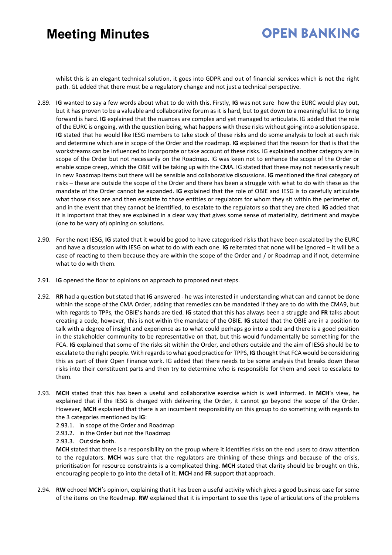# **OPEN BANKING**

whilst this is an elegant technical solution, it goes into GDPR and out of financial services which is not the right path. GL added that there must be a regulatory change and not just a technical perspective.

- 2.89. **IG** wanted to say a few words about what to do with this. Firstly, **IG** was not sure how the EURC would play out, but it has proven to be a valuable and collaborative forum as it is hard, but to get down to a meaningful list to bring forward is hard. **IG** explained that the nuances are complex and yet managed to articulate. IG added that the role of the EURC is ongoing, with the question being, what happens with these risks without going into a solution space. **IG** stated that he would like IESG members to take stock of these risks and do some analysis to look at each risk and determine which are in scope of the Order and the roadmap. **IG** explained that the reason for that is that the workstreams can be influenced to incorporate or take account of these risks. IG explained another category are in scope of the Order but not necessarily on the Roadmap. IG was keen not to enhance the scope of the Order or enable scope creep, which the OBIE will be taking up with the CMA. IG stated that these may not necessarily result in new Roadmap items but there will be sensible and collaborative discussions. **IG** mentioned the final category of risks – these are outside the scope of the Order and there has been a struggle with what to do with these as the mandate of the Order cannot be expanded. **IG** explained that the role of OBIE and IESG is to carefully articulate what those risks are and then escalate to those entities or regulators for whom they sit within the perimeter of, and in the event that they cannot be identified, to escalate to the regulators so that they are cited. **IG** added that it is important that they are explained in a clear way that gives some sense of materiality, detriment and maybe (one to be wary of) opining on solutions.
- 2.90. For the next IESG, **IG** stated that it would be good to have categorised risks that have been escalated by the EURC and have a discussion with IESG on what to do with each one. **IG** reiterated that none will be ignored – it will be a case of reacting to them because they are within the scope of the Order and / or Roadmap and if not, determine what to do with them.
- 2.91. **IG** opened the floor to opinions on approach to proposed next steps.
- 2.92. **RR** had a question but stated that **IG** answered he was interested in understanding what can and cannot be done within the scope of the CMA Order, adding that remedies can be mandated if they are to do with the CMA9, but with regards to TPPs, the OBIE's hands are tied. **IG** stated that this has always been a struggle and **FR** talks about creating a code, however, this is not within the mandate of the OBIE. **IG** stated that the OBIE are in a position to talk with a degree of insight and experience as to what could perhaps go into a code and there is a good position in the stakeholder community to be representative on that, but this would fundamentally be something for the FCA. **IG** explained that some of the risks sit within the Order, and others outside and the aim of IESG should be to escalate to the right people. With regards to what good practice for TPPS, **IG** thought that FCA would be considering this as part of their Open Finance work. IG added that there needs to be some analysis that breaks down these risks into their constituent parts and then try to determine who is responsible for them and seek to escalate to them.
- 2.93. **MCH** stated that this has been a useful and collaborative exercise which is well informed. In **MCH**'s view, he explained that if the IESG is charged with delivering the Order, it cannot go beyond the scope of the Order. However, **MCH** explained that there is an incumbent responsibility on this group to do something with regards to the 3 categories mentioned by **IG**:
	- 2.93.1. in scope of the Order and Roadmap
	- 2.93.2. in the Order but not the Roadmap

2.93.3. Outside both.

**MCH** stated that there is a responsibility on the group where it identifies risks on the end users to draw attention to the regulators. **MCH** was sure that the regulators are thinking of these things and because of the crisis, prioritisation for resource constraints is a complicated thing. **MCH** stated that clarity should be brought on this, encouraging people to go into the detail of it. **MCH** and **FR** support that approach.

2.94. **RW** echoed **MCH**'s opinion, explaining that it has been a useful activity which gives a good business case for some of the items on the Roadmap. **RW** explained that it is important to see this type of articulations of the problems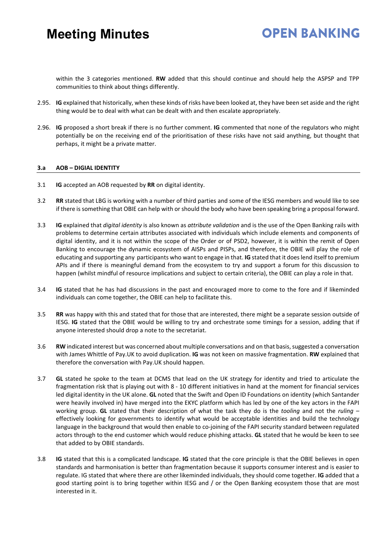within the 3 categories mentioned. **RW** added that this should continue and should help the ASPSP and TPP communities to think about things differently.

- 2.95. **IG** explained that historically, when these kinds of risks have been looked at, they have been set aside and the right thing would be to deal with what can be dealt with and then escalate appropriately.
- 2.96. **IG** proposed a short break if there is no further comment. **IG** commented that none of the regulators who might potentially be on the receiving end of the prioritisation of these risks have not said anything, but thought that perhaps, it might be a private matter.

### **3.a AOB – DIGIAL IDENTITY**

- 3.1 **IG** accepted an AOB requested by **RR** on digital identity.
- 3.2 **RR** stated that LBG is working with a number of third parties and some of the IESG members and would like to see if there is something that OBIE can help with or should the body who have been speaking bring a proposal forward.
- 3.3 **IG** explained that *digital identity* is also known as *attribute validation* and is the use of the Open Banking rails with problems to determine certain attributes associated with individuals which include elements and components of digital identity, and it is not within the scope of the Order or of PSD2, however, it is within the remit of Open Banking to encourage the dynamic ecosystem of AISPs and PISPs, and therefore, the OBIE will play the role of educating and supporting any participants who want to engage in that. **IG** stated that it does lend itself to premium APIs and if there is meaningful demand from the ecosystem to try and support a forum for this discussion to happen (whilst mindful of resource implications and subject to certain criteria), the OBIE can play a role in that.
- 3.4 **IG** stated that he has had discussions in the past and encouraged more to come to the fore and if likeminded individuals can come together, the OBIE can help to facilitate this.
- 3.5 **RR** was happy with this and stated that for those that are interested, there might be a separate session outside of IESG. **IG** stated that the OBIE would be willing to try and orchestrate some timings for a session, adding that if anyone interested should drop a note to the secretariat.
- 3.6 **RW** indicated interest but was concerned about multiple conversations and on that basis, suggested a conversation with James Whittle of Pay.UK to avoid duplication. **IG** was not keen on massive fragmentation. **RW** explained that therefore the conversation with Pay.UK should happen.
- 3.7 **GL** stated he spoke to the team at DCMS that lead on the UK strategy for identity and tried to articulate the fragmentation risk that is playing out with 8 - 10 different initiatives in hand at the moment for financial services led digital identity in the UK alone. **GL** noted that the Swift and Open ID Foundations on identity (which Santander were heavily involved in) have merged into the EKYC platform which has led by one of the key actors in the FAPI working group. **GL** stated that their description of what the task they do is the *tooling* and not the *ruling –* effectively looking for governments to identify what would be acceptable identities and build the technology language in the background that would then enable to co-joining of the FAPI security standard between regulated actors through to the end customer which would reduce phishing attacks. **GL** stated that he would be keen to see that added to by OBIE standards.
- 3.8 **IG** stated that this is a complicated landscape. **IG** stated that the core principle is that the OBIE believes in open standards and harmonisation is better than fragmentation because it supports consumer interest and is easier to regulate. IG stated that where there are other likeminded individuals, they should come together. **IG** added that a good starting point is to bring together within IESG and / or the Open Banking ecosystem those that are most interested in it.